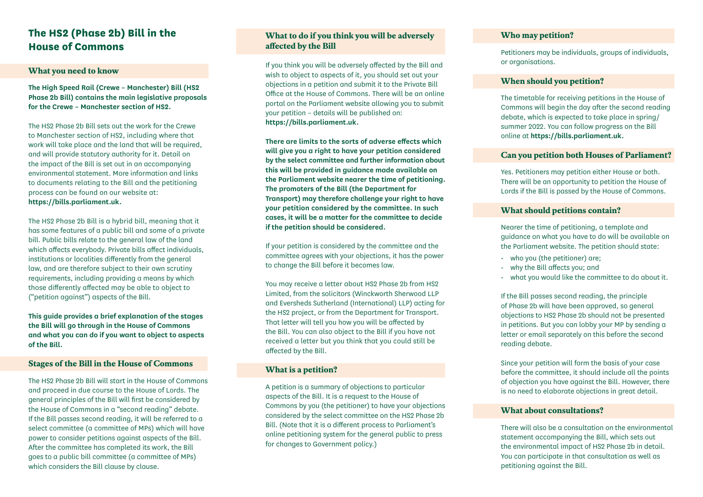### **The HS2 (Phase 2b) Bill in the House of Commons**

#### **What you need to know**

**The High Speed Rail (Crewe – Manchester) Bill (HS2 Phase 2b Bill) contains the main legislative proposals for the Crewe – Manchester section of HS2.**

The HS2 Phase 2b Bill sets out the work for the Crewe to Manchester section of HS2, including where that work will take place and the land that will be required, and will provide statutory authority for it. Detail on the impact of the Bill is set out in an accompanying environmental statement. More information and links to documents relating to the Bill and the petitioning process can be found on our website at: **https://bills.parliament.uk.**

The HS2 Phase 2b Bill is a hybrid bill, meaning that it has some features of a public bill and some of a private bill. Public bills relate to the general law of the land which affects everybody. Private bills affect individuals, institutions or localities differently from the general law, and are therefore subject to their own scrutiny requirements, including providing a means by which those differently affected may be able to object to ("petition against") aspects of the Bill.

**This guide provides a brief explanation of the stages the Bill will go through in the House of Commons and what you can do if you want to object to aspects of the Bill.**

#### **Stages of the Bill in the House of Commons**

The HS2 Phase 2b Bill will start in the House of Commons and proceed in due course to the House of Lords. The general principles of the Bill will first be considered by the House of Commons in a "second reading" debate. If the Bill passes second reading, it will be referred to a select committee (a committee of MPs) which will have power to consider petitions against aspects of the Bill. After the committee has completed its work, the Bill goes to a public bill committee (a committee of MPs) which considers the Bill clause by clause.

#### **What to do if you think you will be adversely affected by the Bill**

If you think you will be adversely affected by the Bill and wish to object to aspects of it, you should set out your objections in a petition and submit it to the Private Bill Office at the House of Commons. There will be an online portal on the Parliament website allowing you to submit your petition – details will be published on: **https://bills.parliament.uk.**

**There are limits to the sorts of adverse effects which will give you a right to have your petition considered by the select committee and further information about this will be provided in guidance made available on the Parliament website nearer the time of petitioning. The promoters of the Bill (the Department for Transport) may therefore challenge your right to have your petition considered by the committee. In such cases, it will be a matter for the committee to decide if the petition should be considered.**

If your petition is considered by the committee and the committee agrees with your objections, it has the power to change the Bill before it becomes law.

You may receive a letter about HS2 Phase 2b from HS2 Limited, from the solicitors (Winckworth Sherwood LLP and Eversheds Sutherland (International) LLP) acting for the HS2 project, or from the Department for Transport. That letter will tell you how you will be affected by the Bill. You can also object to the Bill if you have not received a letter but you think that you could still be affected by the Bill.

#### **What is a petition?**

A petition is a summary of objections to particular aspects of the Bill. It is a request to the House of Commons by you (the petitioner) to have your objections considered by the select committee on the HS2 Phase 2b Bill. (Note that it is a different process to Parliament's online petitioning system for the general public to press for changes to Government policy.)

#### **Who may petition?**

Petitioners may be individuals, groups of individuals, or organisations.

#### **When should you petition?**

The timetable for receiving petitions in the House of Commons will begin the day after the second reading debate, which is expected to take place in spring/ summer 2022. You can follow progress on the Bill online at **https://bills.parliament.uk.**

#### **Can you petition both Houses of Parliament?**

Yes. Petitioners may petition either House or both. There will be an opportunity to petition the House of Lords if the Bill is passed by the House of Commons.

#### **What should petitions contain?**

Nearer the time of petitioning, a template and guidance on what you have to do will be available on the Parliament website. The petition should state:

- who you (the petitioner) are;
- why the Bill affects you; and
- what you would like the committee to do about it.

If the Bill passes second reading, the principle of Phase 2b will have been approved, so general objections to HS2 Phase 2b should not be presented in petitions. But you can lobby your MP by sending a letter or email separately on this before the second reading debate.

Since your petition will form the basis of your case before the committee, it should include all the points of objection you have against the Bill. However, there is no need to elaborate objections in great detail.

#### **What about consultations?**

There will also be a consultation on the environmental statement accompanying the Bill, which sets out the environmental impact of HS2 Phase 2b in detail. You can participate in that consultation as well as petitioning against the Bill.